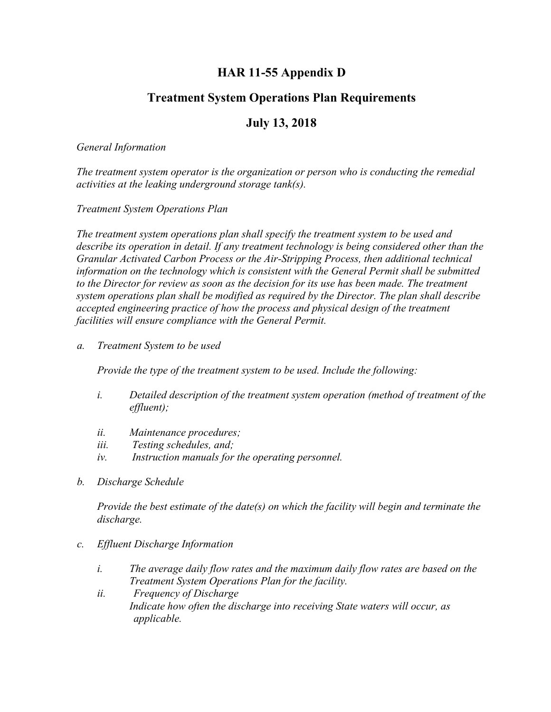## **HAR 11-55 Appendix D**

# **Treatment System Operations Plan Requirements**

### **July 13, 2018**

#### *General Information*

*The treatment system operator is the organization or person who is conducting the remedial activities at the leaking underground storage tank(s).*

#### *Treatment System Operations Plan*

*The treatment system operations plan shall specify the treatment system to be used and describe its operation in detail. If any treatment technology is being considered other than the Granular Activated Carbon Process or the Air-Stripping Process, then additional technical information on the technology which is consistent with the General Permit shall be submitted to the Director for review as soon as the decision for its use has been made. The treatment system operations plan shall be modified as required by the Director. The plan shall describe accepted engineering practice of how the process and physical design of the treatment facilities will ensure compliance with the General Permit.*

*a. Treatment System to be used*

*Provide the type of the treatment system to be used. Include the following:*

- *i. Detailed description of the treatment system operation (method of treatment of the effluent);*
- *ii. Maintenance procedures;*
- *iii. Testing schedules, and;*
- *iv. Instruction manuals for the operating personnel.*
- *b. Discharge Schedule*

*Provide the best estimate of the date(s) on which the facility will begin and terminate the discharge.*

- *c. Effluent Discharge Information*
	- *i. The average daily flow rates and the maximum daily flow rates are based on the Treatment System Operations Plan for the facility.*
	- *ii. Frequency of Discharge Indicate how often the discharge into receiving State waters will occur, as applicable.*